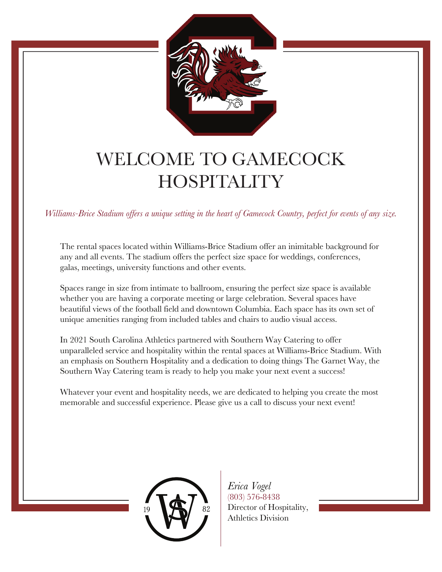

### WELCOME TO GAMECOCK **HOSPITALITY**

*Williams-Brice Stadium offers a unique setting in the heart of Gamecock Country, perfect for events of any size.*

The rental spaces located within Williams-Brice Stadium offer an inimitable background for any and all events. The stadium offers the perfect size space for weddings, conferences, galas, meetings, university functions and other events.

Spaces range in size from intimate to ballroom, ensuring the perfect size space is available whether you are having a corporate meeting or large celebration. Several spaces have beautiful views of the football field and downtown Columbia. Each space has its own set of unique amenities ranging from included tables and chairs to audio visual access.

In 2021 South Carolina Athletics partnered with Southern Way Catering to offer unparalleled service and hospitality within the rental spaces at Williams-Brice Stadium. With an emphasis on Southern Hospitality and a dedication to doing things The Garnet Way, the Southern Way Catering team is ready to help you make your next event a success!

Whatever your event and hospitality needs, we are dedicated to helping you create the most memorable and successful experience. Please give us a call to discuss your next event!



*Erica Vogel* (803) 576-8438 Director of Hospitality, Athletics Division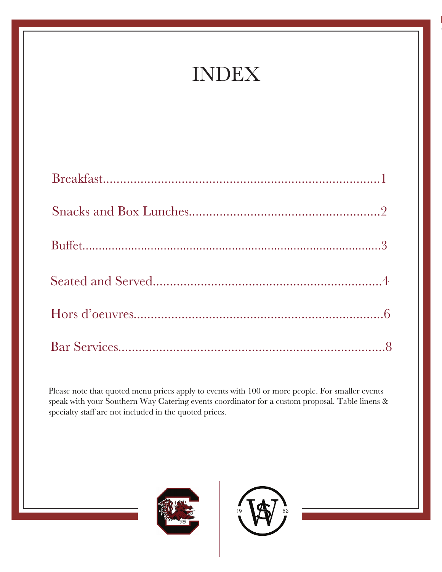## INDEX

Please note that quoted menu prices apply to events with 100 or more people. For smaller events speak with your Southern Way Catering events coordinator for a custom proposal. Table linens & specialty staff are not included in the quoted prices.



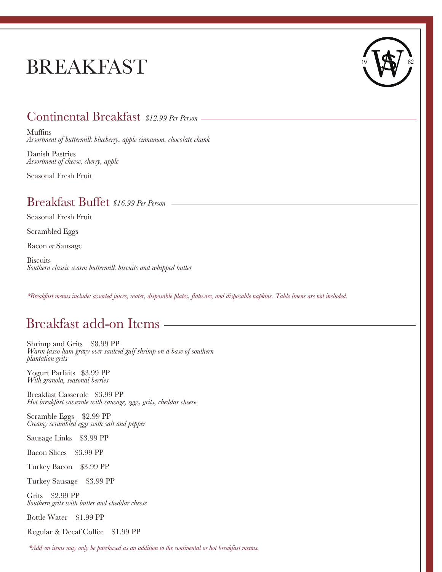## BREAKFAST



#### Continental Breakfast *\$12.99 Per Person*

Muffins *Assortment of buttermilk blueberry, apple cinnamon, chocolate chunk*

Danish Pastries *Assortment of cheese, cherry, apple* 

Seasonal Fresh Fruit

#### Breakfast Buffet *\$16.99 Per Person*

Seasonal Fresh Fruit

Scrambled Eggs

Bacon *or* Sausage

**Biscuits** *Southern classic warm buttermilk biscuits and whipped butter*

*\*Breakfast menus include: assorted juices, water, disposable plates, flatware, and disposable napkins. Table linens are not included.*

### Breakfast add-on Items

Shrimp and Grits \$8.99 PP *Warm tasso ham gravy over sauteed gulf shrimp on a base of southern plantation grits*

Yogurt Parfaits \$3.99 PP *With granola, seasonal berries*

Breakfast Casserole \$3.99 PP *Hot breakfast casserole with sausage, eggs, grits, cheddar cheese* 

Scramble Eggs \$2.99 PP *Creamy scrambled eggs with salt and pepper*

Sausage Links \$3.99 PP

Bacon Slices \$3.99 PP

Turkey Bacon \$3.99 PP

Turkey Sausage \$3.99 PP

Grits \$2.99 PP *Southern grits with butter and cheddar cheese*

Bottle Water \$1.99 PP

Regular & Decaf Coffee \$1.99 PP

 *\*Add-on items may only be purchased as an addition to the continental or hot breakfast menus.*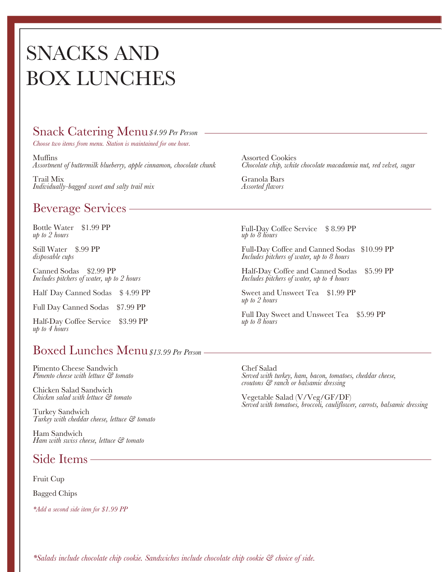## SNACKS AND BOX LUNCHES

#### Snack Catering Menu *\$4.99 Per Person*

*Choose two items from menu. Station is maintained for one hour.*

Muffins *Assortment of buttermilk blueberry, apple cinnamon, chocolate chunk*

Trail Mix *Individually-bagged sweet and salty trail mix*

#### Beverage Services

Bottle Water \$1.99 PP *up to 2 hours*

Still Water \$.99 PP *disposable cups*

Canned Sodas \$2.99 PP *Includes pitchers of water, up to 2 hours*

Half Day Canned Sodas \$4.99 PP

Full Day Canned Sodas \$7.99 PP

Half-Day Coffee Service \$3.99 PP *up to 4 hours*

#### Boxed Lunches Menu*\$13.99 Per Person*

Pimento Cheese Sandwich *Pimento cheese with lettuce & tomato*

Chicken Salad Sandwich *Chicken salad with lettuce & tomato*

Turkey Sandwich *Turkey with cheddar cheese, lettuce & tomato* 

Ham Sandwich *Ham with swiss cheese, lettuce & tomato*

#### Side Items

Fruit Cup

Bagged Chips

*\*Add a second side item for \$1.99 PP*

Assorted Cookies *Chocolate chip, white chocolate macadamia nut, red velvet, sugar*

Granola Bars *Assorted flavors*

*up to 8 hours* Full-Day Coffee Service \$ 8.99 PP

Full-Day Coffee and Canned Sodas \$10.99 PP *Includes pitchers of water, up to 8 hours*

Half-Day Coffee and Canned Sodas \$5.99 PP *Includes pitchers of water, up to 4 hours*

Sweet and Unsweet Tea \$1.99 PP *up to 2 hours*

Full Day Sweet and Unsweet Tea \$5.99 PP *up to 8 hours*

Chef Salad *Served with turkey, ham, bacon, tomatoes, cheddar cheese, croutons & ranch or balsamic dressing*

Vegetable Salad (V/Veg/GF/DF) *Served with tomatoes, broccoli, cauliflower, carrots, balsamic dressing*

*\*Salads include chocolate chip cookie. Sandwiches include chocolate chip cookie & choice of side.*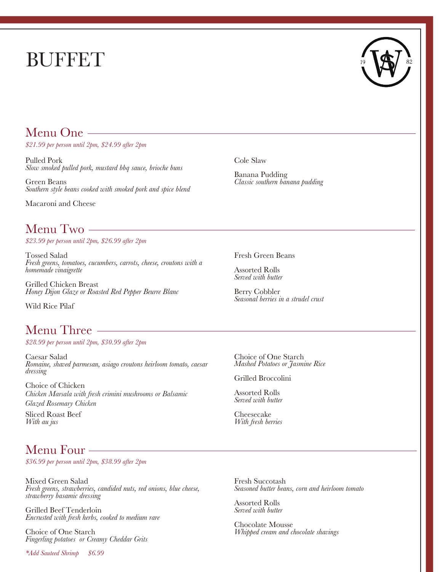# BUFFET



#### Menu One

*\$21.99 per person until 2pm, \$24.99 after 2pm*

Pulled Pork *Slow smoked pulled pork, mustard bbq sauce, brioche buns*

Green Beans *Southern style beans cooked with smoked pork and spice blend*

Macaroni and Cheese

#### Menu Two

*\$23.99 per person until 2pm, \$26.99 after 2pm*

Tossed Salad *Fresh greens, tomatoes, cucumbers, carrots, cheese, croutons with a homemade vinaigrette*

Grilled Chicken Breast *Honey Dijon Glaze or Roasted Red Pepper Beurre Blanc*

Wild Rice Pilaf

### Menu Three

*\$28.99 per person until 2pm, \$30.99 after 2pm*

Caesar Salad *Romaine, shaved parmesan, asiago croutons heirloom tomato, caesar dressing*

Choice of Chicken *Chicken Marsala with fresh crimini mushrooms or Balsamic Glazed Rosemary Chicken*

Sliced Roast Beef *With au jus*

### Menu Four

*\$36.99 per person until 2pm, \$38.99 after 2pm*

Mixed Green Salad *Fresh greens, strawberries, candided nuts, red onions, blue cheese, strawberry basamic dressing*

Grilled Beef Tenderloin *Encrusted with fresh herbs, cooked to medium rare*

Choice of One Starch *Fingerling potatoes or Creamy Cheddar Grits*

*\*Add Sauteed Shrimp \$6.99*

Cole Slaw

Banana Pudding *Classic southern banana pudding*

Fresh Green Beans

Assorted Rolls *Served with butter*

Berry Cobbler *Seasonal berries in a strudel crust*

Choice of One Starch *Mashed Potatoes or Jasmine Rice*

Grilled Broccolini

Assorted Rolls *Served with butter*

Cheesecake *With fresh berries*

Fresh Succotash *Seasoned butter beans, corn and heirloom tomato*

Assorted Rolls *Served with butter*

Chocolate Mousse *Whipped cream and chocolate shavings*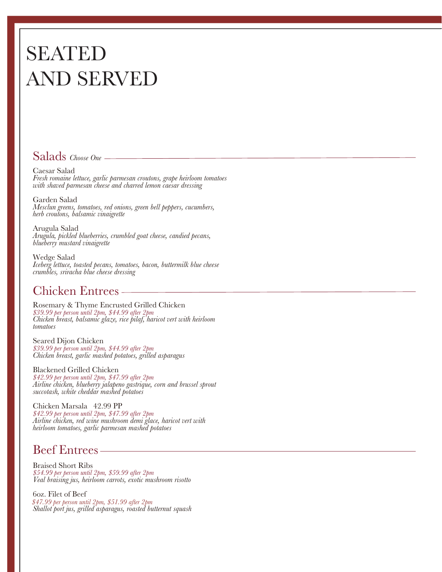## SEATED AND SERVED

### Salads *Choose One*

Caesar Salad *Fresh romaine lettuce, garlic parmesan croutons, grape heirloom tomatoes with shaved parmesan cheese and charred lemon caesar dressing*

Garden Salad *Mesclun greens, tomatoes, red onions, green bell peppers, cucumbers, herb croutons, balsamic vinaigrette* 

Arugula Salad *Arugula, pickled blueberries, crumbled goat cheese, candied pecans, blueberry mustard vinaigrette*

Wedge Salad *Iceberg lettuce, toasted pecans, tomatoes, bacon, buttermilk blue cheese crumbles, sriracha blue cheese dressing*

### Chicken Entrees

Rosemary & Thyme Encrusted Grilled Chicken *\$39.99 per person until 2pm, \$44.99 after 2pm Chicken breast, balsamic glaze, rice pilaf, haricot vert with heirloom tomatoes*

Seared Dijon Chicken<br>\$39.99 per person until 2pm, \$44.99 after 2pm *39.99 <i>Chicken breast, garlic mashed potatoes, grilled asparagus* 

Blackened Grilled Chicken<br>\$42.99 per person until 2pm, \$47.99 after 2pm *\$42.99 per person until 2pm, \$47.99 after 2pm Airline chicken, blueberry jalapeno gastrique, corn and brussel sprout succotash, white cheddar mashed potatoes* 

Chicken Marsala 42.99 PP *\$42.99 per person until 2pm, \$47.99 after 2pm Airline chicken, red wine mushroom demi glace, haricot vert with heirloom tomatoes, garlic parmesan mashed potatoes*

### Beef Entrees

Braised Short Ribs *\$54.99 per person until 2pm, \$59.99 after 2pm Veal braising jus, heirloom carrots, exotic mushroom risotto* 

6oz. Filet of Beef *Shallot port jus, grilled asparagus, roasted butternut squash \$47.99 per person until 2pm, \$51.99 after 2pm*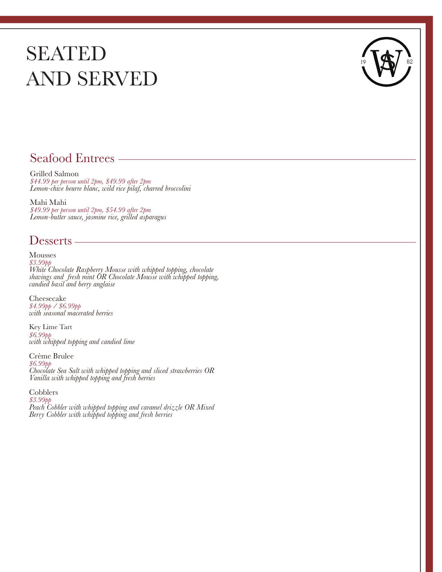## SEATED AND SERVED



#### Seafood Entrees

Grilled Salmon *\$44.99 per person until 2pm, \$49.99 after 2pm Lemon-chive beurre blanc, wild rice pilaf, charred broccolini*

Mahi Mahi *\$49.99 per person until 2pm, \$54.99 after 2pm Lemon-butter sauce, jasmine rice, grilled asparagus*

#### Desserts

**Mousses** *\$3.99pp White Chocolate Raspberry Mousse with whipped topping, chocolate shavings and fresh mint OR Chocolate Mousse with whipped topping, candied basil and berry anglaise*

Cheesecake *\$4.99pp / \$6.99pp with seasonal macerated berries*

*\$6.99pp with whipped topping and candied lime* Key Lime Tart

Crème Brulee *\$6.99pp Chocolate Sea Salt with whipped topping and sliced strawberries OR Vanilla with whipped topping and fresh berries*

Cobblers *\$3.99pp Peach Cobbler with whipped topping and caramel drizzle OR Mixed Berry Cobbler with whipped topping and fresh berries*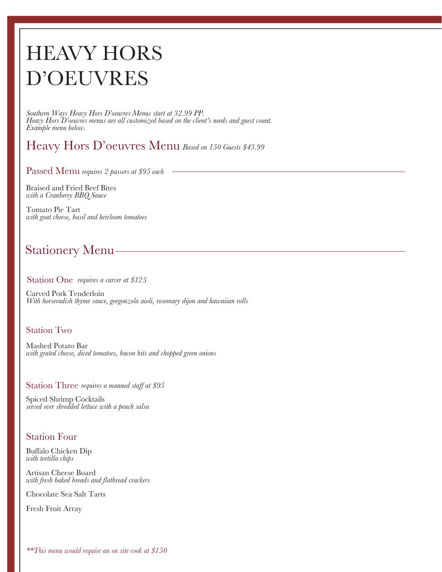# HEAVY HORS D'OEUVRES

*Southern Ways Heavy Hors D'oeuvres Menus start at 32.99 PP. Heavy Hors D'oeuvres menus are all customized based on the client's needs and guest count. Example menu below.*

### Heavy Hors D'oeuvres Menu *Based on 150 Guests \$43.99*

Passed Menu *requires 2 passers at \$95 each* 

Braised and Fried Beef Bites *with a Cranberry BBQ Sauce*

Tomato Pie Tart *with goat cheese, basil and heirloom tomatoes*

### Stationery Menu

#### Station One *requires a carver at* \$125

Carved Pork Tenderloin *With horseradish thyme sauce, gorgonzola aioli, rosemary dijon and hawaiian rolls*

#### Station Two

Mashed Potato Bar *with grated cheese, diced tomatoes, bacon bits and chopped green onions*

Station Three requires a manned staff at \$95

Spiced Shrimp Cocktails *served over shredded lettuce with a peach salsa*

#### Station Four

Buffalo Chicken Dip *with tortilla chips*

Artisan Cheese Board *with fresh baked breads and flatbread crackers*

Chocolate Sea Salt Tarts

Fresh Fruit Array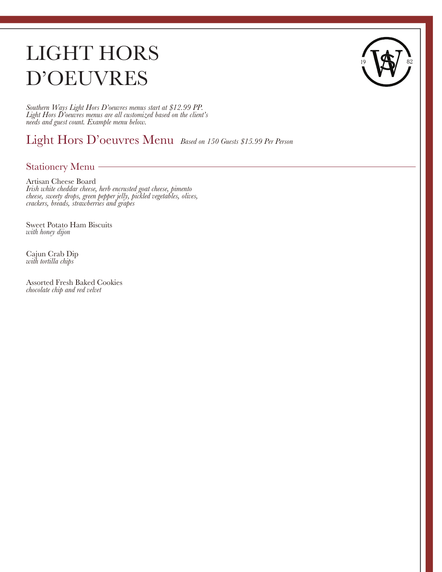# LIGHT HORS D'OEUVRES

*Southern Ways Light Hors D'oeuvres menus start at \$12.99 PP. Light Hors D'oeuvres menus are all customized based on the client's needs and guest count. Example menu below.*

Light Hors D'oeuvres Menu *Based on 150 Guests \$15.99 Per Person*

Stationery Menu

Artisan Cheese Board *Irish white cheddar cheese, herb encrusted goat cheese, pimento cheese, sweety drops, green pepper jelly, pickled vegetables, olives, crackers, breads, strawberries and grapes*

Sweet Potato Ham Biscuits *with honey dijon*

Cajun Crab Dip *with tortilla chips*

Assorted Fresh Baked Cookies *chocolate chip and red velvet*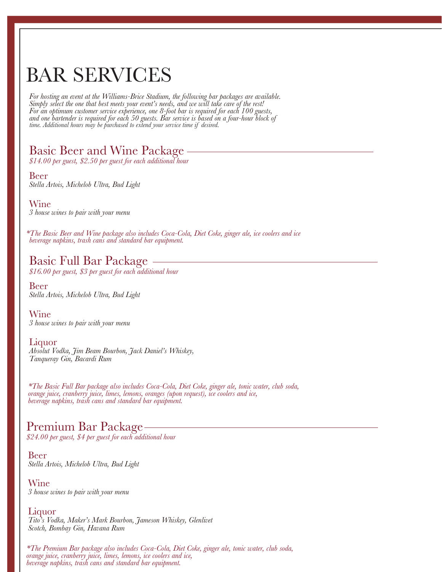## BAR SERVICES

*For hosting an event at the Williams-Brice Stadium, the following bar packages are available. Simply select the one that best meets your event's needs, and we will take care of the rest! For an optimum customer service experience, one 8-foot bar is required for each 100 guests, and one bartender is required for each 50 guests. Bar service is based on a four-hour block of time. Additional hours may be purchased to extend your service time if desired.*

#### Basic Beer and Wine Package

*\$14.00 per guest, \$2.50 per guest for each additional hour*

Beer *Stella Artois, Michelob Ultra, Bud Light*

Wine *3 house wines to pair with your menu*

*beverage napkins, trash cans and standard bar equipment. \*The Basic Beer and Wine package also includes Coca-Cola, Diet Coke, ginger ale, ice coolers and ice*

#### Basic Full Bar Package

*\$16.00 per guest, \$3 per guest for each additional hour*

Beer *Stella Artois, Michelob Ultra, Bud Light*

Wine *3 house wines to pair with your menu*

#### Liquor

*Absolut Vodka, Jim Beam Bourbon, Jack Daniel's Whiskey, Tanqueray Gin, Bacardi Rum*

*\*The Basic Full Bar package also includes Coca-Cola, Diet Coke, ginger ale, tonic water, club soda, orange juice, cranberry juice, limes, lemons, oranges (upon request), ice coolers and ice, beverage napkins, trash cans and standard bar equipment.*

#### Premium Bar Package

*\$24.00 per guest, \$4 per guest for each additional hour*

Beer *Stella Artois, Michelob Ultra, Bud Light*

Wine *3 house wines to pair with your menu*

#### Liquor

*Tito's Vodka, Maker's Mark Bourbon, Jameson Whiskey, Glenlivet Scotch, Bombay Gin, Havana Rum*

*\*The Premium Bar package also includes Coca-Cola, Diet Coke, ginger ale, tonic water, club soda, orange juice, cranberry juice, limes, lemons, ice coolers and ice, beverage napkins, trash cans and standard bar equipment.*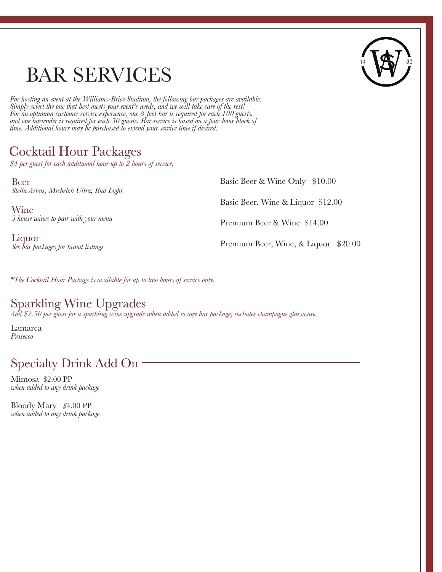## BAR SERVICES



*For hosting an event at the Williams-Brice Stadium, the following bar packages are available. Simply select the one that best meets your event's needs, and we will take care of the rest! For an optimum customer service experience, one 8-foot bar is required for each 100 guests, and one bartender is required for each 50 guests. Bar service is based on a four-hour block of time. Additional hours may be purchased to extend your service time if desired.*

### Cocktail Hour Packages

*\$4 per guest for each additional hour up to 2 hours of service.*

Beer *Stella Artois, Michelob Ultra, Bud Light*

Wine *3 house wines to pair with your menu*

Liquor *See bar packages for brand listings* Basic Beer & Wine Only \$10.00 Basic Beer, Wine & Liquor \$12.00 Premium Beer & Wine \$14.00 Premium Beer, Wine, & Liquor \$20.00

*\*The Cocktail Hour Package is available for up to two hours of service only.*

### Sparkling Wine Upgrades

*Add \$2.50 per guest for a sparkling wine upgrade when added to any bar package; includes champagne glassware.*

Lamarca *Prosecco* 

### Specialty Drink Add On

Mimosa \$2.00 PP *when added to any drink package* 

Bloody Mary *\$*4.00 PP *when added to any drink package*